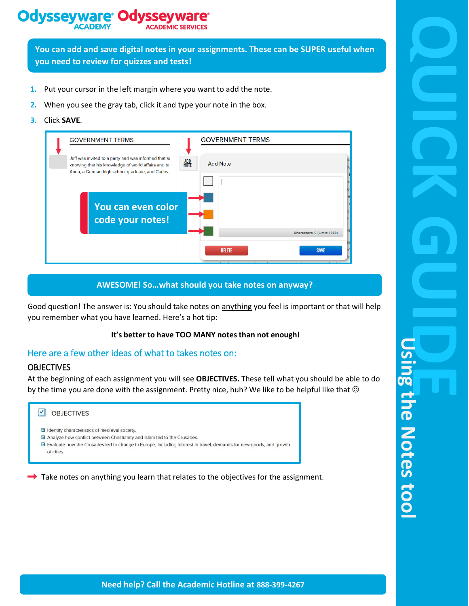# **Odysseyware® Odvssevy**

**You can add and save digital notes in your assignments. These can be SUPER useful when you need to review for quizzes and tests!**

- **1.** Put your cursor in the left margin where you want to add the note.
- **2.** When you see the gray tab, click it and type your note in the box.
- **3.** Click **SAVE**.

| <b>GOVERNMENT TERMS</b>                                                                                                                                         | <b>GOVERNMENT TERMS</b>        |                  |
|-----------------------------------------------------------------------------------------------------------------------------------------------------------------|--------------------------------|------------------|
| Jeff was invited to a party and was informed that so<br>knowing that his knowledge of world affairs and ter<br>Anna, a German high school graduate, and Carlos, | ADD<br>Note<br><b>Add Note</b> |                  |
| You can even color<br>code your notes!                                                                                                                          | Characters: 0 (Limit: 1000)    | e <mark>:</mark> |
|                                                                                                                                                                 | <b>DELETE</b><br><b>SAVE</b>   |                  |

### **AWESOME! So…what should you take notes on anyway?**

Good question! The answer is: You should take notes on anything you feel is important or that will help you remember what you have learned. Here's a hot tip:

### **It's better to have TOO MANY notes than not enough!**

### Here are a few other ideas of what to takes notes on:

### **OBJECTIVES**

At the beginning of each assignment you will see **OBJECTIVES.** These tell what you should be able to do by the time you are done with the assignment. Pretty nice, huh? We like to be helpful like that  $\odot$ 



 $\rightarrow$  Take notes on anything you learn that relates to the objectives for the assignment.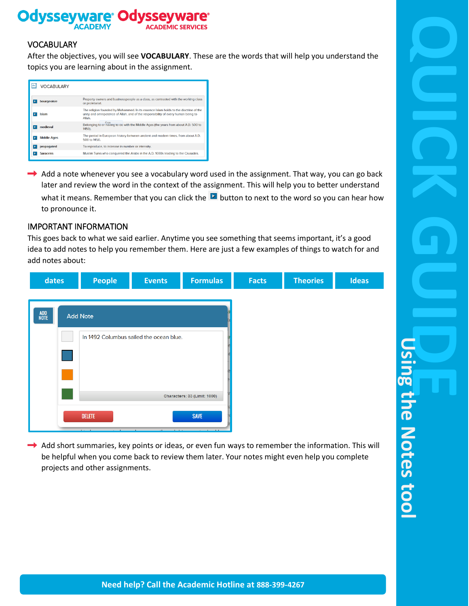

### **VOCABULARY**

After the objectives, you will see **VOCABULARY**. These are the words that will help you understand the topics you are learning about in the assignment.

| <b>VOCABULARY</b>  |                                                                                                                                                                                    |
|--------------------|------------------------------------------------------------------------------------------------------------------------------------------------------------------------------------|
| bourgeoisie        | Property owners and businesspeople as a class, as contrasted with the working class<br>or proletariat.                                                                             |
| Islam              | The religion founded by Mohammed. In its essence Islam holds to the doctrine of the<br>unity and omnipotence of Allah, and of the responsibility of every human being to<br>Allah. |
| medieval           | Copy<br>Belonging to or naving to go with the Middle Ages (the years from about A.D. 500 to<br>1450).                                                                              |
| <b>Middle Ages</b> | The period in European history between ancient and modern times, from about A.D.<br>500 to 1450.                                                                                   |
| propagated         | To reproduce, to increase in number or intensity.                                                                                                                                  |
| <b>Saracens</b>    | Muslim Turks who conquered the Arabs in the A.D. 1000s leading to the Crusades.                                                                                                    |

 $\rightarrow$  Add a note whenever you see a vocabulary word used in the assignment. That way, you can go back later and review the word in the context of the assignment. This will help you to better understand what it means. Remember that you can click the  $\blacksquare$  button to next to the word so you can hear how to pronounce it.

### IMPORTANT INFORMATION

This goes back to what we said earlier. Anytime you see something that seems important, it's a good idea to add notes to help you remember them. Here are just a few examples of things to watch for and add notes about:



 $\rightarrow$  Add short summaries, key points or ideas, or even fun ways to remember the information. This will be helpful when you come back to review them later. Your notes might even help you complete projects and other assignments.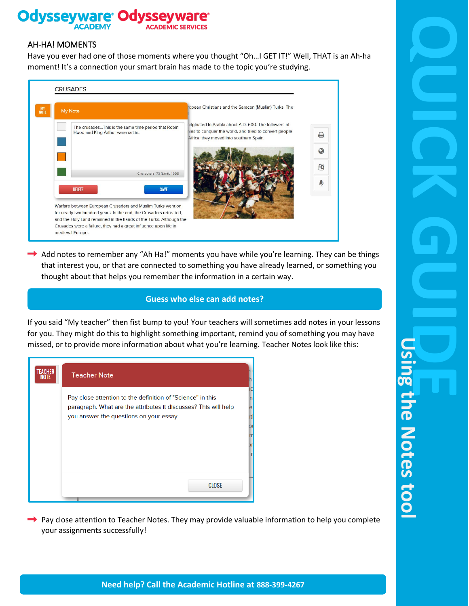#### **Odysseyw** Od SSEV

### AH-HA! MOMENTS

Have you ever had one of those moments where you thought "Oh…I GET IT!" Well, THAT is an Ah-ha moment! It's a connection your smart brain has made to the topic you're studying.

| $\frac{MY}{NOTE}$ | <b>CRUSADES</b><br>My Note                                                                                                                                                                                                                                                                      | opean Christians and the Saracen (Muslim) Turks. The                                                                                                       |        |
|-------------------|-------------------------------------------------------------------------------------------------------------------------------------------------------------------------------------------------------------------------------------------------------------------------------------------------|------------------------------------------------------------------------------------------------------------------------------------------------------------|--------|
|                   | The crusadesThis is the same time period that Robin<br>Hood and King Arthur were set in.                                                                                                                                                                                                        | priginated in Arabia about A.D. 600. The followers of<br>hies to conquer the world, and tried to convert people<br>Africa, they moved into southern Spain. | ₽      |
|                   | Characters: 73 (Limit: 1000)                                                                                                                                                                                                                                                                    |                                                                                                                                                            | G<br>函 |
|                   | <b>SAVE</b><br><b>DELETE</b>                                                                                                                                                                                                                                                                    |                                                                                                                                                            |        |
|                   | Warfare between European Crusaders and Muslim Turks went on<br>for nearly two hundred years. In the end, the Crusaders retreated,<br>and the Holy Land remained in the hands of the Turks. Although the<br>Crusades were a failure, they had a great influence upon life in<br>medieval Europe. |                                                                                                                                                            |        |

 $\rightarrow$  Add notes to remember any "Ah Ha!" moments you have while you're learning. They can be things that interest you, or that are connected to something you have already learned, or something you thought about that helps you remember the information in a certain way.

## **Guess who else can add notes?**

If you said "My teacher" then fist bump to you! Your teachers will sometimes add notes in your lessons for you. They might do this to highlight something important, remind you of something you may have missed, or to provide more information about what you're learning. Teacher Notes look like this:

| <b>TEACHER</b><br><b>NOTE</b> | <b>Teacher Note</b>                                                                                                                                                      |   |
|-------------------------------|--------------------------------------------------------------------------------------------------------------------------------------------------------------------------|---|
|                               | Pay close attention to the definition of "Science" in this<br>paragraph. What are the attributes it discusses? This will help<br>you answer the questions on your essay. | е |
|                               |                                                                                                                                                                          |   |
|                               | <b>CLOSE</b>                                                                                                                                                             |   |

Pay close attention to Teacher Notes. They may provide valuable information to help you complete your assignments successfully!